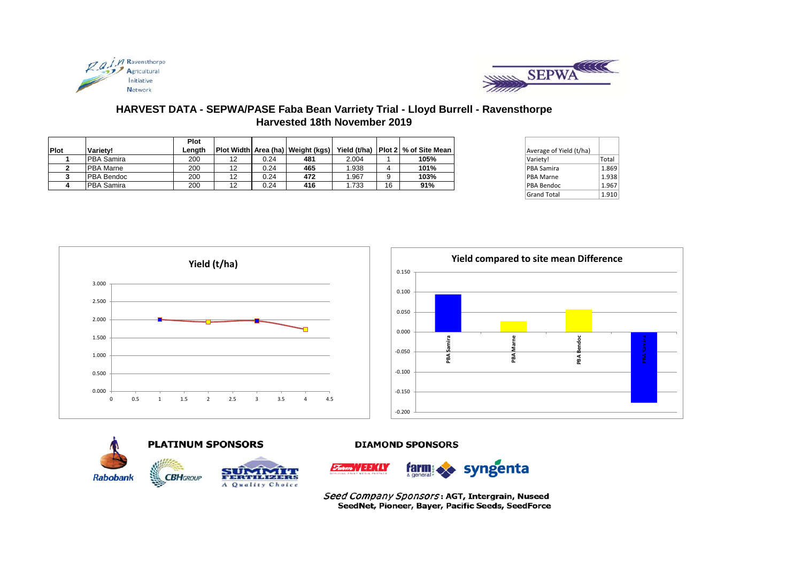



# **HARVEST DATA - SEPWA/PASE Faba Bean Varriety Trial - Lloyd Burrell - Ravensthorpe Harvested 18th November 2019**

|      |                   | Plot   |    |      |                                   |       |    |                                        |                         |       |
|------|-------------------|--------|----|------|-----------------------------------|-------|----|----------------------------------------|-------------------------|-------|
| Plot | Variety!          | Lenath |    |      | Plot Width Area (ha) Weight (kgs) |       |    | Yield (t/ha)   Plot 2   % of Site Mean | Average of Yield (t/ha) |       |
|      | <b>PBA Samira</b> | 200    | 12 | 0.24 | 481                               | 2.004 |    | 105%                                   | Variety!                | Total |
|      | <b>PBA</b> Marne  | 200    | 12 | 0.24 | 465                               | 1.938 |    | 101%                                   | <b>PBA Samira</b>       | 1.869 |
|      | <b>PBA Bendoc</b> | 200    | 12 | 0.24 | 472                               | 1.967 |    | 103%                                   | <b>PBA Marne</b>        | 1.938 |
|      | <b>PBA Samira</b> | 200    | 12 | 0.24 | 416                               | .733  | 16 | 91%                                    | <b>PBA Bendoc</b>       | 1.967 |

| Average of Yield (t/ha) |       |
|-------------------------|-------|
| Variety!                | Total |
| <b>PBA Samira</b>       | 1.869 |
| <b>PBA Marne</b>        | 1.938 |
| PBA Bendoc              | 1.967 |
| <b>Grand Total</b>      | 1.910 |







## **DIAMOND SPONSORS**



Seed Company Sponsors: AGT, Intergrain, Nuseed SeedNet, Pioneer, Bayer, Pacific Seeds, SeedForce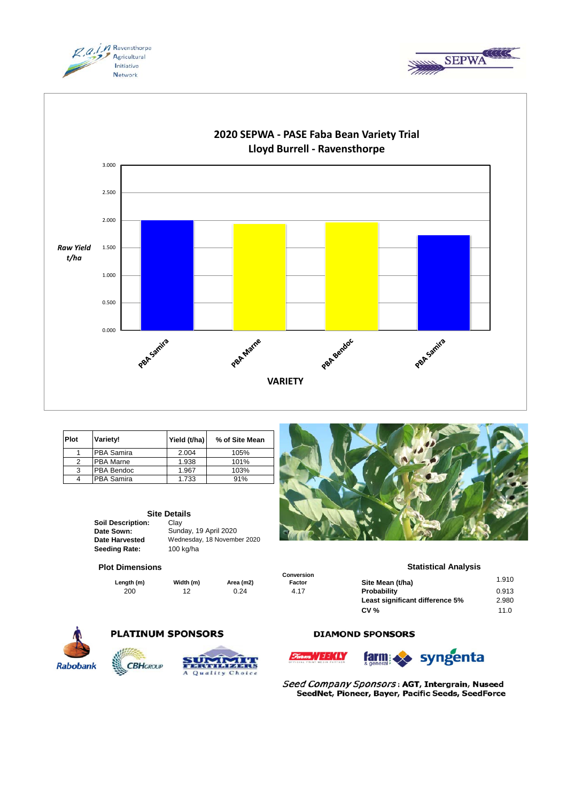





| <b>Plot</b> | Variety!           | Yield (t/ha) | % of Site Mean |
|-------------|--------------------|--------------|----------------|
|             | <b>IPBA Samira</b> | 2.004        | 105%           |
|             | <b>PBA Marne</b>   | 1.938        | 101%           |
| 3           | <b>PBA Bendoc</b>  | 1.967        | 103%           |
|             | PBA Samira         | 1.733        | 91%            |

|                          | <b>Site Details</b> |  |  |
|--------------------------|---------------------|--|--|
| <b>Soil Description:</b> | Clav                |  |  |
| Date Sown:               | Sunday, 19          |  |  |
| <b>Date Harvested</b>    | Wednesday           |  |  |
| <b>Seeding Rate:</b>     | $100$ kg/ha         |  |  |

**Site Details** Sunday, 19 April 2020 Wednesday, 18 November 2020

#### **Plot Dimensions**

**Length (m) Width (m) Area (m2)** 



**Statistical Analysis** 

|         |           |           | <b>UUIIVULSIUII</b> |                                 |       |
|---------|-----------|-----------|---------------------|---------------------------------|-------|
| gth (m) | Width (m) | Area (m2) | Factor              | Site Mean (t/ha)                | 1.910 |
| 200     | 12        | 0.24      | 4.17                | Probability                     | 0.913 |
|         |           |           |                     | Least significant difference 5% | 2.980 |
|         |           |           |                     | CV <sub>0</sub>                 | 11.0  |
|         |           |           |                     |                                 |       |



## **PLATINUM SPONSORS**



## **DIAMOND SPONSORS**



**Conversion** 



Seed Company Sponsors: AGT, Intergrain, Nuseed SeedNet, Pioneer, Bayer, Pacific Seeds, SeedForce